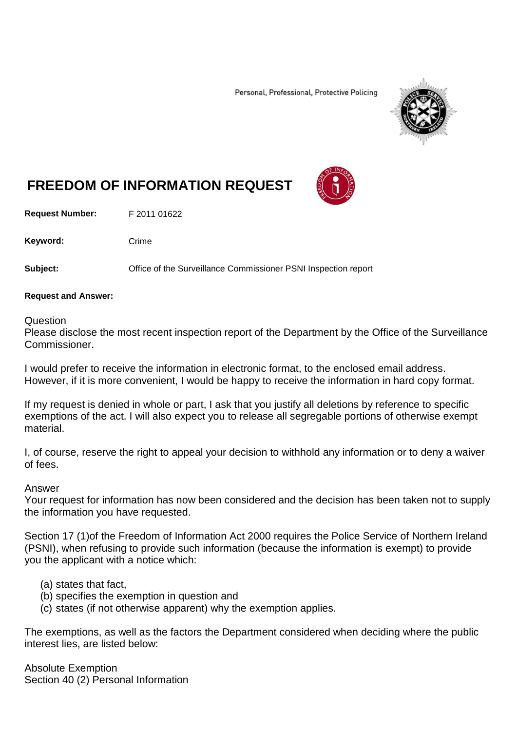Personal, Professional, Protective Policing



# **FREEDOM OF INFORMATION REQUEST**

**Request Number:** F 2011 01622

Keyword: Crime

**Subject:** Office of the Surveillance Commissioner PSNI Inspection report

### **Request and Answer:**

#### Question

Please disclose the most recent inspection report of the Department by the Office of the Surveillance Commissioner.

I would prefer to receive the information in electronic format, to the enclosed email address. However, if it is more convenient, I would be happy to receive the information in hard copy format.

If my request is denied in whole or part, I ask that you justify all deletions by reference to specific exemptions of the act. I will also expect you to release all segregable portions of otherwise exempt material.

I, of course, reserve the right to appeal your decision to withhold any information or to deny a waiver of fees.

### Answer

Your request for information has now been considered and the decision has been taken not to supply the information you have requested.

Section 17 (1)of the Freedom of Information Act 2000 requires the Police Service of Northern Ireland (PSNI), when refusing to provide such information (because the information is exempt) to provide you the applicant with a notice which:

### (a) states that fact,

- (b) specifies the exemption in question and
- (c) states (if not otherwise apparent) why the exemption applies.

The exemptions, as well as the factors the Department considered when deciding where the public interest lies, are listed below:

Absolute Exemption Section 40 (2) Personal Information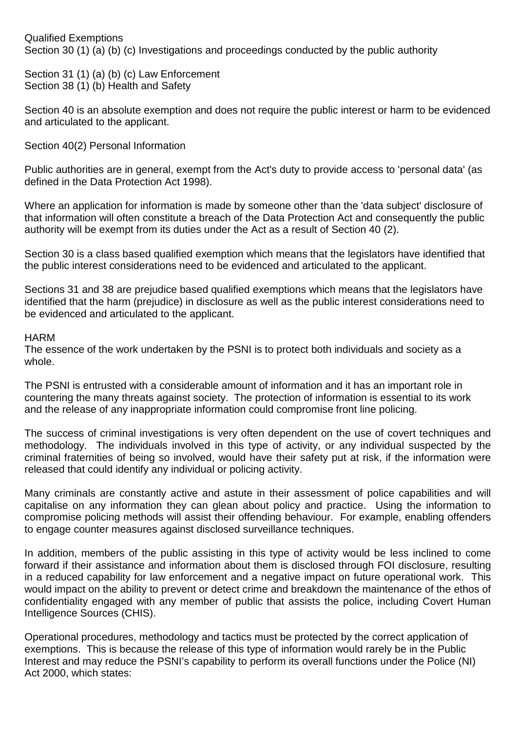Qualified Exemptions Section 30 (1) (a) (b) (c) Investigations and proceedings conducted by the public authority

Section 31 (1) (a) (b) (c) Law Enforcement Section 38 (1) (b) Health and Safety

Section 40 is an absolute exemption and does not require the public interest or harm to be evidenced and articulated to the applicant.

## Section 40(2) Personal Information

Public authorities are in general, exempt from the Act's duty to provide access to 'personal data' (as defined in the Data Protection Act 1998).

Where an application for information is made by someone other than the 'data subject' disclosure of that information will often constitute a breach of the Data Protection Act and consequently the public authority will be exempt from its duties under the Act as a result of Section 40 (2).

Section 30 is a class based qualified exemption which means that the legislators have identified that the public interest considerations need to be evidenced and articulated to the applicant.

Sections 31 and 38 are prejudice based qualified exemptions which means that the legislators have identified that the harm (prejudice) in disclosure as well as the public interest considerations need to be evidenced and articulated to the applicant.

## HARM

The essence of the work undertaken by the PSNI is to protect both individuals and society as a whole.

The PSNI is entrusted with a considerable amount of information and it has an important role in countering the many threats against society. The protection of information is essential to its work and the release of any inappropriate information could compromise front line policing.

The success of criminal investigations is very often dependent on the use of covert techniques and methodology. The individuals involved in this type of activity, or any individual suspected by the criminal fraternities of being so involved, would have their safety put at risk, if the information were released that could identify any individual or policing activity.

Many criminals are constantly active and astute in their assessment of police capabilities and will capitalise on any information they can glean about policy and practice. Using the information to compromise policing methods will assist their offending behaviour. For example, enabling offenders to engage counter measures against disclosed surveillance techniques.

In addition, members of the public assisting in this type of activity would be less inclined to come forward if their assistance and information about them is disclosed through FOI disclosure, resulting in a reduced capability for law enforcement and a negative impact on future operational work. This would impact on the ability to prevent or detect crime and breakdown the maintenance of the ethos of confidentiality engaged with any member of public that assists the police, including Covert Human Intelligence Sources (CHIS).

Operational procedures, methodology and tactics must be protected by the correct application of exemptions. This is because the release of this type of information would rarely be in the Public Interest and may reduce the PSNI's capability to perform its overall functions under the Police (NI) Act 2000, which states: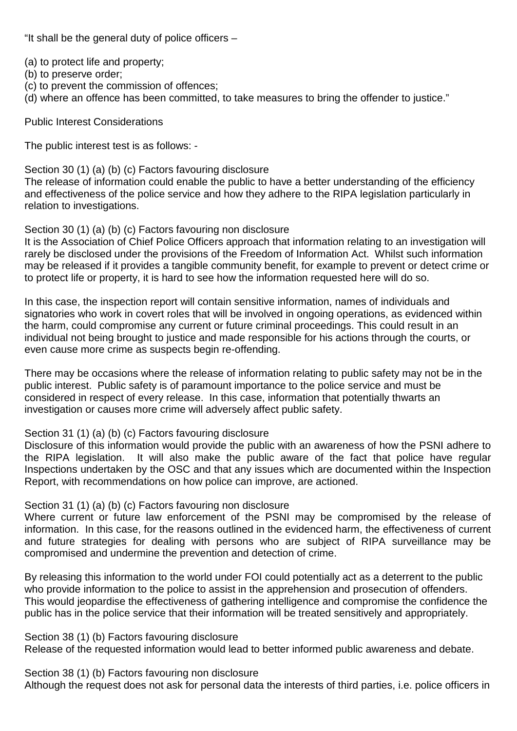"It shall be the general duty of police officers –

(a) to protect life and property;

- (b) to preserve order;
- (c) to prevent the commission of offences;
- (d) where an offence has been committed, to take measures to bring the offender to justice."

Public Interest Considerations

The public interest test is as follows: -

Section 30 (1) (a) (b) (c) Factors favouring disclosure

The release of information could enable the public to have a better understanding of the efficiency and effectiveness of the police service and how they adhere to the RIPA legislation particularly in relation to investigations.

## Section 30 (1) (a) (b) (c) Factors favouring non disclosure

It is the Association of Chief Police Officers approach that information relating to an investigation will rarely be disclosed under the provisions of the Freedom of Information Act. Whilst such information may be released if it provides a tangible community benefit, for example to prevent or detect crime or to protect life or property, it is hard to see how the information requested here will do so.

In this case, the inspection report will contain sensitive information, names of individuals and signatories who work in covert roles that will be involved in ongoing operations, as evidenced within the harm, could compromise any current or future criminal proceedings. This could result in an individual not being brought to justice and made responsible for his actions through the courts, or even cause more crime as suspects begin re-offending.

There may be occasions where the release of information relating to public safety may not be in the public interest. Public safety is of paramount importance to the police service and must be considered in respect of every release. In this case, information that potentially thwarts an investigation or causes more crime will adversely affect public safety.

# Section 31 (1) (a) (b) (c) Factors favouring disclosure

Disclosure of this information would provide the public with an awareness of how the PSNI adhere to the RIPA legislation. It will also make the public aware of the fact that police have regular Inspections undertaken by the OSC and that any issues which are documented within the Inspection Report, with recommendations on how police can improve, are actioned.

# Section 31 (1) (a) (b) (c) Factors favouring non disclosure

Where current or future law enforcement of the PSNI may be compromised by the release of information. In this case, for the reasons outlined in the evidenced harm, the effectiveness of current and future strategies for dealing with persons who are subject of RIPA surveillance may be compromised and undermine the prevention and detection of crime.

By releasing this information to the world under FOI could potentially act as a deterrent to the public who provide information to the police to assist in the apprehension and prosecution of offenders. This would jeopardise the effectiveness of gathering intelligence and compromise the confidence the public has in the police service that their information will be treated sensitively and appropriately.

# Section 38 (1) (b) Factors favouring disclosure

Release of the requested information would lead to better informed public awareness and debate.

Section 38 (1) (b) Factors favouring non disclosure

Although the request does not ask for personal data the interests of third parties, i.e. police officers in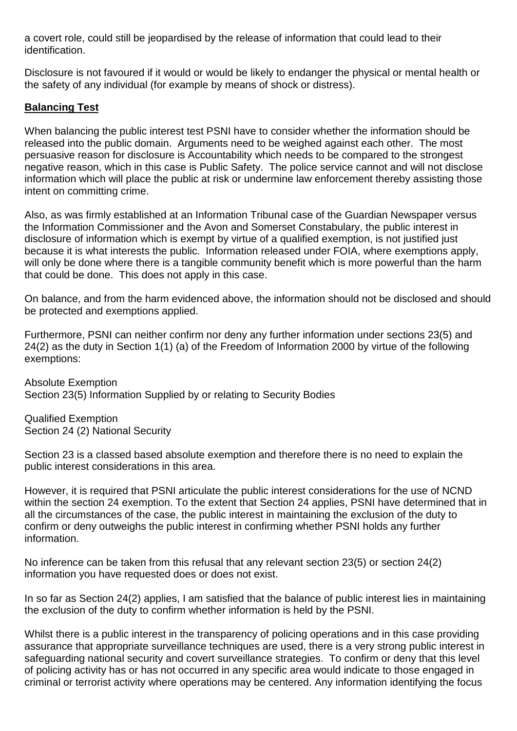a covert role, could still be jeopardised by the release of information that could lead to their identification.

Disclosure is not favoured if it would or would be likely to endanger the physical or mental health or the safety of any individual (for example by means of shock or distress).

# **Balancing Test**

When balancing the public interest test PSNI have to consider whether the information should be released into the public domain. Arguments need to be weighed against each other. The most persuasive reason for disclosure is Accountability which needs to be compared to the strongest negative reason, which in this case is Public Safety. The police service cannot and will not disclose information which will place the public at risk or undermine law enforcement thereby assisting those intent on committing crime.

Also, as was firmly established at an Information Tribunal case of the Guardian Newspaper versus the Information Commissioner and the Avon and Somerset Constabulary, the public interest in disclosure of information which is exempt by virtue of a qualified exemption, is not justified just because it is what interests the public. Information released under FOIA, where exemptions apply, will only be done where there is a tangible community benefit which is more powerful than the harm that could be done. This does not apply in this case.

On balance, and from the harm evidenced above, the information should not be disclosed and should be protected and exemptions applied.

Furthermore, PSNI can neither confirm nor deny any further information under sections 23(5) and 24(2) as the duty in Section 1(1) (a) of the Freedom of Information 2000 by virtue of the following exemptions:

Absolute Exemption Section 23(5) Information Supplied by or relating to Security Bodies

Qualified Exemption Section 24 (2) National Security

Section 23 is a classed based absolute exemption and therefore there is no need to explain the public interest considerations in this area.

However, it is required that PSNI articulate the public interest considerations for the use of NCND within the section 24 exemption. To the extent that Section 24 applies, PSNI have determined that in all the circumstances of the case, the public interest in maintaining the exclusion of the duty to confirm or deny outweighs the public interest in confirming whether PSNI holds any further information.

No inference can be taken from this refusal that any relevant section 23(5) or section 24(2) information you have requested does or does not exist.

In so far as Section 24(2) applies, I am satisfied that the balance of public interest lies in maintaining the exclusion of the duty to confirm whether information is held by the PSNI.

Whilst there is a public interest in the transparency of policing operations and in this case providing assurance that appropriate surveillance techniques are used, there is a very strong public interest in safeguarding national security and covert surveillance strategies. To confirm or deny that this level of policing activity has or has not occurred in any specific area would indicate to those engaged in criminal or terrorist activity where operations may be centered. Any information identifying the focus